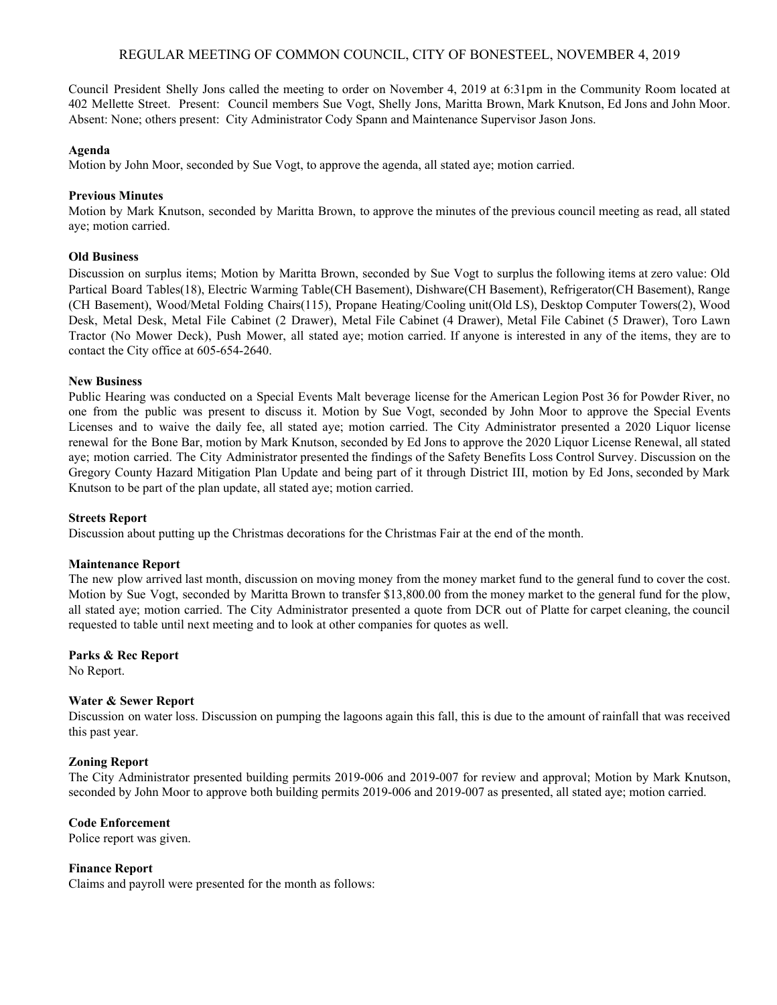# REGULAR MEETING OF COMMON COUNCIL, CITY OF BONESTEEL, NOVEMBER 4, 2019

Council President Shelly Jons called the meeting to order on November 4, 2019 at 6:31pm in the Community Room located at 402 Mellette Street. Present: Council members Sue Vogt, Shelly Jons, Maritta Brown, Mark Knutson, Ed Jons and John Moor. Absent: None; others present: City Administrator Cody Spann and Maintenance Supervisor Jason Jons.

#### **Agenda**

Motion by John Moor, seconded by Sue Vogt, to approve the agenda, all stated aye; motion carried.

## **Previous Minutes**

Motion by Mark Knutson, seconded by Maritta Brown, to approve the minutes of the previous council meeting as read, all stated aye; motion carried.

### **Old Business**

Discussion on surplus items; Motion by Maritta Brown, seconded by Sue Vogt to surplus the following items at zero value: Old Partical Board Tables(18), Electric Warming Table(CH Basement), Dishware(CH Basement), Refrigerator(CH Basement), Range (CH Basement), Wood/Metal Folding Chairs(115), Propane Heating/Cooling unit(Old LS), Desktop Computer Towers(2), Wood Desk, Metal Desk, Metal File Cabinet (2 Drawer), Metal File Cabinet (4 Drawer), Metal File Cabinet (5 Drawer), Toro Lawn Tractor (No Mower Deck), Push Mower, all stated aye; motion carried. If anyone is interested in any of the items, they are to contact the City office at 605-654-2640.

### **New Business**

Public Hearing was conducted on a Special Events Malt beverage license for the American Legion Post 36 for Powder River, no one from the public was present to discuss it. Motion by Sue Vogt, seconded by John Moor to approve the Special Events Licenses and to waive the daily fee, all stated aye; motion carried. The City Administrator presented a 2020 Liquor license renewal for the Bone Bar, motion by Mark Knutson, seconded by Ed Jons to approve the 2020 Liquor License Renewal, all stated aye; motion carried. The City Administrator presented the findings of the Safety Benefits Loss Control Survey. Discussion on the Gregory County Hazard Mitigation Plan Update and being part of it through District III, motion by Ed Jons, seconded by Mark Knutson to be part of the plan update, all stated aye; motion carried.

#### **Streets Report**

Discussion about putting up the Christmas decorations for the Christmas Fair at the end of the month.

#### **Maintenance Report**

The new plow arrived last month, discussion on moving money from the money market fund to the general fund to cover the cost. Motion by Sue Vogt, seconded by Maritta Brown to transfer \$13,800.00 from the money market to the general fund for the plow, all stated aye; motion carried. The City Administrator presented a quote from DCR out of Platte for carpet cleaning, the council requested to table until next meeting and to look at other companies for quotes as well.

# **Parks & Rec Report**

No Report.

# **Water & Sewer Report**

Discussion on water loss. Discussion on pumping the lagoons again this fall, this is due to the amount of rainfall that was received this past year.

# **Zoning Report**

The City Administrator presented building permits 2019-006 and 2019-007 for review and approval; Motion by Mark Knutson, seconded by John Moor to approve both building permits 2019-006 and 2019-007 as presented, all stated aye; motion carried.

# **Code Enforcement**

Police report was given.

# **Finance Report**

Claims and payroll were presented for the month as follows: